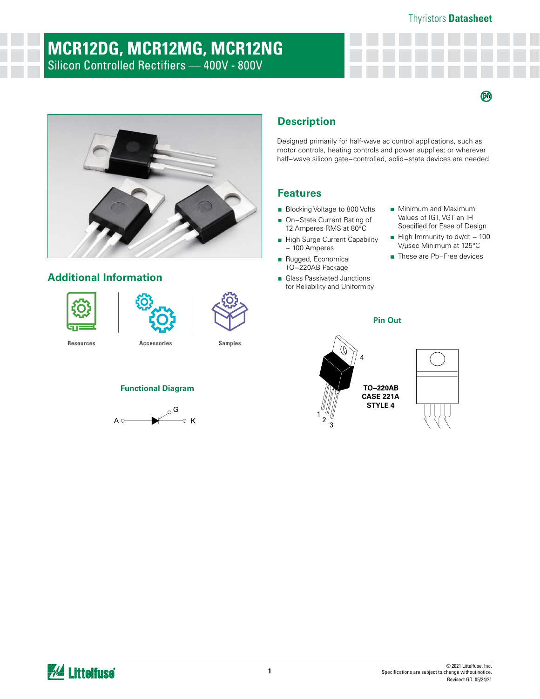$\bm{\Theta}$ 

# **MCR12DG, MCR12MG, MCR12NG** Silicon Controlled Rectifiers — 400V - 800V

# **Additional Information**







**[Resources](https://www.littelfuse.com/products/power-semiconductors/discrete-thyristors/scr/mcr12.aspx#TechnicalResources) [Accessories](https://www.littelfuse.com/products/power-semiconductors/discrete-thyristors/scr/mcr12.aspx#EnvironmentalInfo) [Samples](https://www.littelfuse.com/products/power-semiconductors/discrete-thyristors/scr/mcr12.aspx#ElectricalCharacteristics)**



**Functional Diagram**

# **Description**

Designed primarily for half-wave ac control applications, such as motor controls, heating controls and power supplies; or wherever half−wave silicon gate−controlled, solid−state devices are needed.

**Pin Out**

# **Features**

- Blocking Voltage to 800 Volts
- On–State Current Rating of 12 Amperes RMS at 80°C
- High Surge Current Capability − 100 Amperes
- Rugged, Economical TO−220AB Package
- Glass Passivated Junctions for Reliability and Uniformity
- Minimum and Maximum Values of IGT, VGT an IH Specified for Ease of Design
- High Immunity to dv/dt 100 V/μsec Minimum at 125°C
- These are Pb-Free devices





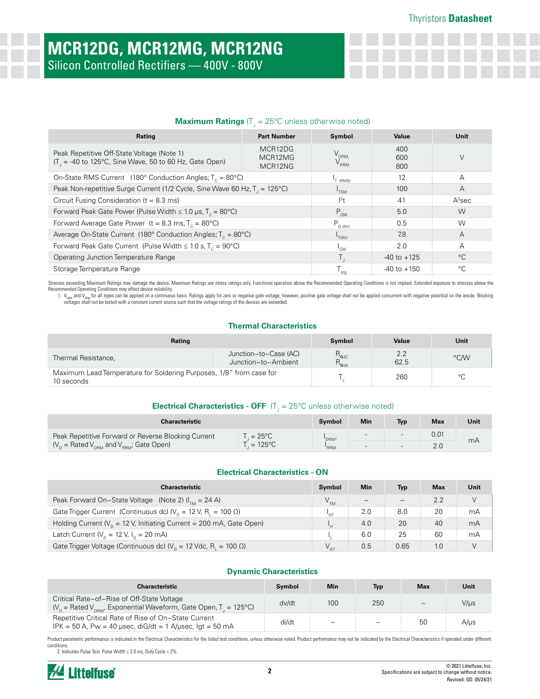## **Maximum Ratings** (T<sub>J</sub> = 25°C unless otherwise noted)

| Rating                                                                                                 | <b>Part Number</b>            | Symbol                                       | Value             | Unit |
|--------------------------------------------------------------------------------------------------------|-------------------------------|----------------------------------------------|-------------------|------|
| Peak Repetitive Off-State Voltage (Note 1)<br>$(T1 = -40$ to 125°C, Sine Wave, 50 to 60 Hz, Gate Open) | MCR12DG<br>MCR12MG<br>MCR12NG | $V_{\text{DRM},\text{}}$<br>$V_{\text{RRM}}$ | 400<br>600<br>800 | V    |
| On-State RMS Current (180° Conduction Angles; $T_c = 80^{\circ}$ C)                                    |                               | <sup>1</sup> T (RMS)                         | 12                | А    |
| Peak Non-repetitive Surge Current (1/2 Cycle, Sine Wave 60 Hz, T <sub>1</sub> = 125°C)                 | $^{\mathsf{I}}$ TSM           | 100                                          | A                 |      |
| Circuit Fusing Consideration ( $t = 8.3$ ms)                                                           | $ ^{2}$ t                     | 41                                           | $A^2$ sec         |      |
| Forward Peak Gate Power (Pulse Width $\leq 1.0$ µs, T <sub>c</sub> = 80°C)                             | $P_{GM}$                      | 5.0                                          | W                 |      |
| Forward Average Gate Power (t = 8.3 ms, $T_c = 80^{\circ}$ C)                                          | $P_{G (AV)}$                  | 0.5                                          | W                 |      |
| Average On-State Current (180° Conduction Angles; $T_c = 80^{\circ}$ C)                                | T(AV)                         | 7.8                                          | A                 |      |
| Forward Peak Gate Current (Pulse Width $\leq 1.0$ s, T <sub>c</sub> = 90°C)                            | l <sub>GM</sub>               | 2.0                                          | A                 |      |
| Operating Junction Temperature Range                                                                   |                               | $-40$ to $+125$                              | $^{\circ}C$       |      |
| Storage Temperature Range                                                                              | stg                           | $-40$ to $+150$                              | $^{\circ}$ C      |      |

Stresses exceeding Maximum Ratings may damage the device. Maximum Ratings are stress ratings only. Functional operation above the Recommended Operating Conditions is not implied. Extended exposure to stresses above the Recommended Operating Conditions may affect device reliability.

1. V<sub>paM</sub> and V<sub>iend</sub> for all types can be applied on a continuous basis. Ratings apply for zero or negative gate voltage; however, positive gate voltage shall not be applied concurrent with negative potential on the anode voltages shall not be tested with a constant current source such that the voltage ratings of the devices are exceeded.

### **Thermal Characteristics**

| Rating                                                                            |                                              | Symbol                                                      | Value       | Unit |
|-----------------------------------------------------------------------------------|----------------------------------------------|-------------------------------------------------------------|-------------|------|
| Thermal Resistance,                                                               | Junction-to-Case (AC)<br>Junction-to-Ambient | $\mathsf{R}_{\scriptstyle\Theta\text{JC}}$<br>$R_{\rm AIA}$ | 2.2<br>62.5 | °C/W |
| Maximum Lead Temperature for Soldering Purposes, 1/8" from case for<br>10 seconds |                                              |                                                             | 260         | °C   |

# **Electrical Characteristics - OFF** (T<sub>J</sub> = 25°C unless otherwise noted)

| <b>Characteristic</b>                                     |                  | Symbol | Min                      | <b>Typ</b> | Max  | Unit |
|-----------------------------------------------------------|------------------|--------|--------------------------|------------|------|------|
| Peak Repetitive Forward or Reverse Blocking Current       | $= 25^{\circ}$ C | DRM'   | $\overline{\phantom{0}}$ | $\sim$     | 0.01 |      |
| $(V_p = \text{Rated } V_{pRM}$ and $V_{RRM}$ ; Gate Open) | $=125^{\circ}C$  | 'RRM   | $\overline{\phantom{0}}$ | $-1$       | 2.0  | mA   |

### **Electrical Characteristics - ON**

| <b>Characteristic</b>                                                                  | Symbol          | <b>Min</b>        | Typ  | <b>Max</b> | Unit |
|----------------------------------------------------------------------------------------|-----------------|-------------------|------|------------|------|
| Peak Forward On-State Voltage (Note 2) $(ITM = 24 A)$                                  | V <sub>TM</sub> | $\qquad \qquad -$ |      | 2.2        | V    |
| Gate Trigger Current (Continuous dc) ( $V_p = 12$ V, R <sub>1</sub> = 100 $\Omega$ )   | ד פו            | 2.0               | 8.0  | 20         | mA   |
| Holding Current ( $V_p = 12$ V, Initiating Current = 200 mA, Gate Open)                |                 | 4.0               | 20   | 40         | mA   |
| Latch Current ( $V_p = 12$ V, $I_q = 20$ mA)                                           |                 | 6.0               | 25   | 60         | mA   |
| Gate Trigger Voltage (Continuous dc) ( $V_p = 12$ Vdc, R <sub>1</sub> = 100 $\Omega$ ) |                 | 0.5               | 0.65 | 1.0        |      |

### **Dynamic Characteristics**

| <b>Characteristic</b>                                                                                                            | <b>Symbol</b> | <b>Min</b>               | Typ | Max | Unit      |
|----------------------------------------------------------------------------------------------------------------------------------|---------------|--------------------------|-----|-----|-----------|
| Critical Rate-of-Rise of Off-State Voltage<br>$V_p =$ Rated $V_{pBM}$ , Exponential Waveform, Gate Open, T <sub>1</sub> = 125°C) | dv/dt         | 100                      | 250 |     | V/µs      |
| Repetitive Critical Rate of Rise of On-State Current<br>IPK = 50 A, Pw = 40 $\mu$ sec, diG/dt = 1 A/ $\mu$ sec, lgt = 50 mA      | di/dt         | $\overline{\phantom{0}}$ |     | 50  | $A/\mu s$ |

Product parametric performance is indicated in the Electrical Characteristics for the listed test conditions, unless otherwise noted. Product performance may not be indicated by the Electrical Characteristics if operated u conditions.

2. Indicates Pulse Test: Pulse Width ≤ 2.0 ms, Duty Cycle ≤ 2%.

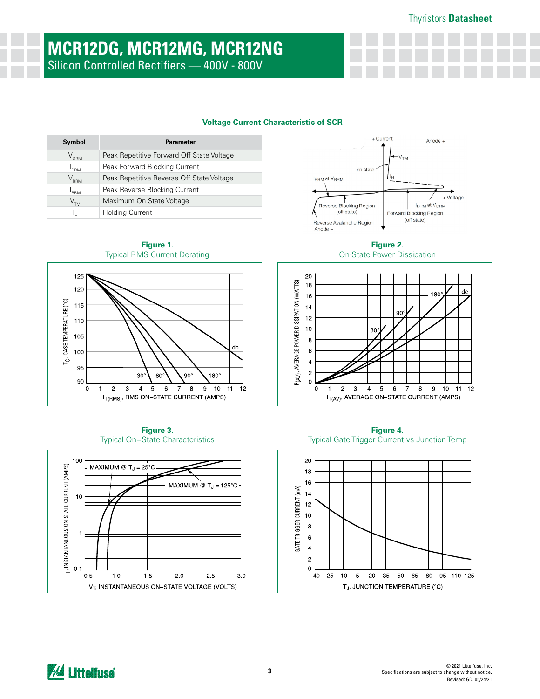# **MCR12DG, MCR12MG, MCR12NG** Silicon Controlled Rectifiers — 400V - 800V

### **Voltage Current Characteristic of SCR**

 $dc$ 

 $12$ 

 $180^\circ$ 

 $9$  10 11

 $90^\circ$ 

| Symbol           | <b>Parameter</b>                          |
|------------------|-------------------------------------------|
| $\rm V_{_{DRM}}$ | Peak Repetitive Forward Off State Voltage |
| I <sub>drm</sub> | Peak Forward Blocking Current             |
| $\rm V_{_{RRM}}$ | Peak Repetitive Reverse Off State Voltage |
| <b>RRM</b>       | Peak Reverse Blocking Current             |
| V <sub>TM</sub>  | Maximum On State Voltage                  |
| ı''              | <b>Holding Current</b>                    |





**Figure 2.**  On-State Power Dissipation



**Figure 3.**  Typical On−State Characteristics

60

I<sub>T(RMS)</sub>, RMS ON-STATE CURRENT (AMPS)

30



**Figure 4.**  Typical Gate Trigger Current vs Junction Temp



*M* Littelfuse

100

95

90

 $\mathbf 0$ 

 $\mathbf 2$  $\ensuremath{\mathsf{3}}$  $\overline{\mathbf{4}}$  $\sqrt{5}$  $\,6\,$  $\boldsymbol{7}$  $\bf8$ 

 $\mathbf{1}$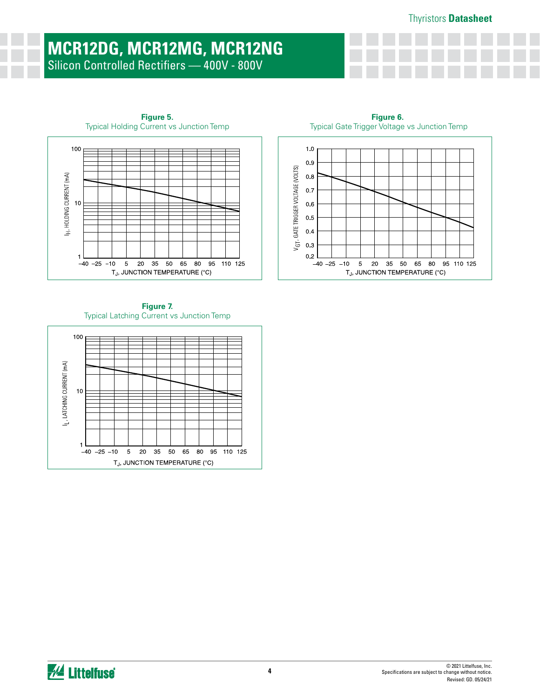# **MCR12DG, MCR12MG, MCR12NG** Silicon Controlled Rectifiers — 400V - 800V

**Figure 5.**





TJ, JUNCTION TEMPERATURE (°C)

**Figure 6.** Typical Gate Trigger Voltage vs Junction Temp



 $-40 -25 -10$ 

 $\,$  5  $\,$  $20\,$  $35\,$ 50 65 80

95 110 125